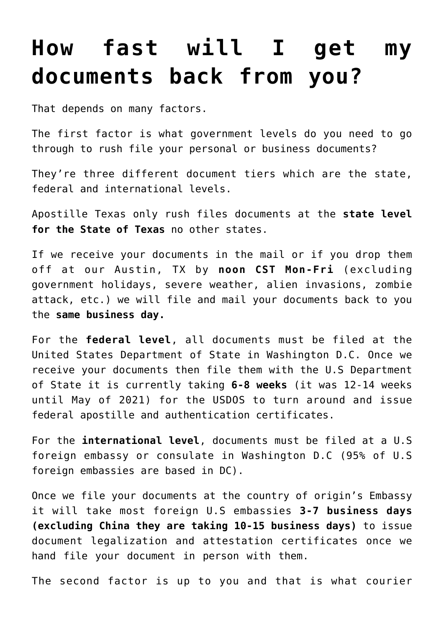## **[How fast will I get my](https://www.apostilletexas.org/faqs/shipping/how-fast-will-i-get-my-documents-back-from-you/) [documents back from you?](https://www.apostilletexas.org/faqs/shipping/how-fast-will-i-get-my-documents-back-from-you/)**

That depends on many factors.

The first factor is what government levels do you need to go through to rush file your personal or business documents?

They're three different document tiers which are the state, federal and international levels.

Apostille Texas only rush files documents at the **state level for the State of Texas** no other states.

If we receive your documents in the mail or if you drop them off at our Austin, TX by **noon CST Mon-Fri** (excluding government holidays, severe weather, alien invasions, zombie attack, etc.) we will file and mail your documents back to you the **same business day.**

For the **federal level**, all documents must be filed at the United States Department of State in Washington D.C. Once we receive your documents then file them with the U.S Department of State it is currently taking **6-8 weeks** (it was 12-14 weeks until May of 2021) for the USDOS to turn around and issue federal apostille and authentication certificates.

For the **international level**, documents must be filed at a U.S foreign embassy or consulate in Washington D.C (95% of U.S foreign embassies are based in DC).

Once we file your documents at the country of origin's Embassy it will take most foreign U.S embassies **3-7 business days (excluding China they are taking 10-15 business days)** to issue document legalization and attestation certificates once we hand file your document in person with them.

The second factor is up to you and that is what courier